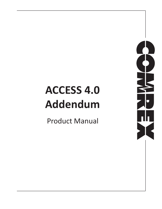# **ACCESS 4.0 Addendum**

Product Manual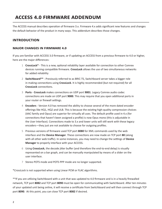# **ACCESS 4.0 Firmware addendum**

The ACCESS manual describes operation of firmware 3.x. Firmware 4.x adds significant new features and changes the default behavior of the product in many ways. This addendum describes those changes.

# **Introduction**

#### **Major Changes in Firmware 4.0**

If you are familiar with ACCESS 3.0 firmware, or if updating an ACCESS from a previous firmware to 4.0 or higher, here are the major differences:

- 1 **CrossLock\*** This is a new, optional reliability layer available for connection to other Comrex devices running compatible firmware. **CrossLock** allows the use of two simultaneous networks for added reliability
- 2 **Switchboard\*\*** Previously referred to as BRIC-TS, Switchboard server takes a bigger role in making connections using **CrossLock**. It is highly recommended (but not required) for all **CrossLock** connections.
- 3 **Ports CrossLock** makes connections on UDP port **9001**. Legacy Comrex audio codec connections are made on UDP port **9000**. This may require that you open additional ports in your router or firewall settings.
- 4 **Encoders** Version 4.0 has removed the ability to choose several of the more dated encoder offerings like HQ1, HQ2 and ULB. This is because the existing high-quality compression choices (AAC family and Opus) are superior for virtually all uses. The default profile used in 4.x (for connections that haven't been assigned a profile) is now Opus mono (this is adjustable in the User Interface). Connections made to 3.x and lower units will still work with these legacy encoders—they just are not available to choose for outgoing profiles.
- 5 Previous versions of firmware used TCP port **8080** for XML commands used by the web interface and the **Device Manager**. These connections are now made on TCP port **80** (along with all other web traffic). In some instances, you may need to change the settings of **Device Manager** to properly interface with your ACCESS.
- 6 Using **CrossLock**, the decode jitter buffer (and therefore the end-to-end delay) is visually represented on a bar graph, and can be manually manipulated by means of a slider on the user interface.
- 7 Stereo POTS mode and POTS PPP mode are no longer supported.

\*CrossLock is not supported when using Linear PCM or FLAC algorithms.

\*\*If you are utilizing Switchboard with a unit that was updated to 4.0 firmware and is in a heavily firewalled network, TCP port **8082** and TCP port **8090** must be open for communicating with Switchboard. After ten minutes of your updated unit being online, it will receive a certificate from Switchboard and will then connect through TCP port **8090**. At this point, you can close TCP port **8082** if desired.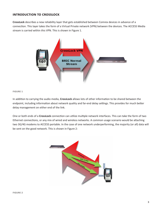# **Introduction to CrossLock**

**CrossLock** describes a new reliability layer that gets established between Comrex devices in advance of a connection. This layer takes the form of a Virtual Private network (VPN) between the devices. The ACCESS Media stream is carried within this VPN. This is shown in Figure 1.



#### **Figure 1**

In addition to carrying the audio media, **CrossLock** allows lots of other information to be shared between the endpoint, including information about network quality and far-end delay settings. This provides for much better delay management on either end of the link.

One or both ends of a **CrossLock** connection can utilize multiple network interfaces. This can take the form of two Ethernet connections, or any mix of wired and wireless networks. A common usage scenario would be attaching two 3G/4G modems to ACCESS portable. In the case of one network underperforming, the majority (or all) data will be sent on the good network. This is shown in Figure 2:

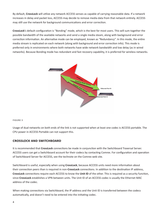By default, **CrossLock** will utilize any network ACCESS senses as capable of carrying reasonable data. If a network increases in delay and packet loss, ACCESS may decide to remove media data from that network entirely. ACCESS may still use the network for background communications and error correction.

**CrossLock**'s default configuration is "Bonding" mode, which is the best for most users. This will sum together the possible bandwidth of the available networks and send a single media steam, along with background and error correction information. An alternative mode can be employed, known as "Redundancy". In this mode, the entire media stream is replicated on each network (along with background and error correction info). This mode is preferred only in environments where both networks have wide network bandwidth and low delay (as in wired networks). Because Bonding mode has redundant and fast recovery capability, it is preferred for wireless networks.



#### **Figure 3**

Usage of dual networks on both ends of the link is not supported when at least one codec is ACCESS portable. The CPU power in ACCESS Portable can not support this.

#### **CrossLock and Switchboard**

It is recommended that **CrossLock** connections be made in conjunction with the Switchboard Traversal Server. ACCESS users can get a Switchboard account for their codecs by contacting Comrex. For configuration and operation of Switchboard Server for ACCESS, see the technote on the Comrex web site.

Switchboard is useful, especially when using **CrossLock**, because ACCESS units need more information about their connection peers than is required in non-**CrossLock** connections. In addition to the destination IP address, **CrossLock** connections require each ACCESS to know the **Unit ID** of the other. This is required as a security function, since **CrossLock** establishes a VPN between units. The Unit ID of an ACCESS codec is usually the Ethernet MAC address of the codec.

When making connections via Switchboard, the IP address and the Unit ID is transferred between the codecs automatically, and doesn't need to be entered into the initiating codec.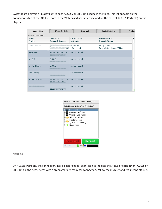Switchboard delivers a "buddy list" to each ACCESS or BRIC-Link codec in the fleet. This list appears on the **Connections** tab of the ACCESS, both in the Web-based user interface and (in the case of ACCESS Portable) on the display.

| <b>Connections</b>         | <b>Media Statistics</b>                              | CrossLock                                 | <b>Audio Metering</b>                           | <b>Profiles</b>      |
|----------------------------|------------------------------------------------------|-------------------------------------------|-------------------------------------------------|----------------------|
| <b>REMOTE ACCESS UNITS</b> |                                                      |                                           |                                                 |                      |
| Name<br>Profile            | <b>IP Address</b><br><b>Crosslock Address</b>        | <b>Current State</b><br><b>Last State</b> | <b>Receive Status</b><br><b>Transmit Status</b> | $\blacktriangle$     |
| Omaha beach                | TV20.790+ Mixc0.201<br><b>MILANDRE, 2000</b>         | connected<br>(Connected)                  | Rx: Opus Mono<br>Tx: N4.1 Opus Mono 48kbps      |                      |
| Nags Head                  | 74.94.151.145:1132<br><b>DUILD'S AND UPFLAIR</b> ARE | not connected                             |                                                 |                      |
| My BL <sub>2</sub>         | 0.0.0.0                                              | not connected                             |                                                 | E                    |
| Master Blaster             | 0.0.0.0<br><b>DOUGLATING THING</b>                   | not connected                             |                                                 |                      |
| Kabul office               | 00/03/03/05/04/04                                    | not connected                             |                                                 |                      |
| <b>Admiral Halsey</b>      | 74.94.151.145:1134<br>and complete                   | not connected                             |                                                 |                      |
| 1,25,00,00,00              |                                                      | not connected                             |                                                 | $\blacktriangledown$ |



**Figure 4** 

On ACCESS Portable, the connections have a color codec "gear" icon to indicate the status of each other ACCESS or BRIC-Link in the fleet. Items with a green gear are ready for connection. Yellow means busy and red means off-line.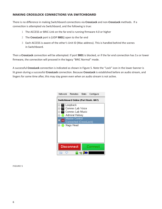## **Making CrossLock Connections via Switchboard**

There is no difference in making Switchboard connections via **CrossLock** and non-**CrossLock** methods. If a connection is attempted via Switchboard, and the following is true:

- 1 The ACCESS or BRIC-Link on the far end is running firmware 4.0 or higher
- 2 The **CrossLock** port is (UDP **9001**) open to the far end
- 3 Each ACCESS is aware of the other's Unit ID (Mac address). This is handled behind the scenes in Switchboard.

Then a **CrossLock** connection will be attempted. If port **9001** is blocked, or if the far end connection has 3.x or lower firmware, the connection will proceed in the legacy "BRIC Normal" mode.

A successful **CrossLock** connection is indicated as shown in Figure 5. Note the "Lock" icon in the lower banner is lit green during a successful **CrossLock** connection. Because **CrossLock** is established before an audio stream, and lingers for some time after, this may stay green even when an audio stream is not active.



**Figure 5**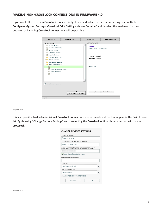## **Making non-CrossLock connections in Firmware 4.0**

If you would like to bypass **CrossLock** mode entirely, it can be disabled in the system settings menu. Under **Configure->System Settings->CrossLock VPN Settings**, choose "**enable**" and deselect the enable option. No outgoing or incoming **CrossLock** connections will be possible.

| <b>Connections</b>                                                                                                                                                                                                                                                                                                                                      | <b>Media Statistics</b>        | CrossLock                                                                                            | <b>Audio Metering</b> |
|---------------------------------------------------------------------------------------------------------------------------------------------------------------------------------------------------------------------------------------------------------------------------------------------------------------------------------------------------------|--------------------------------|------------------------------------------------------------------------------------------------------|-----------------------|
| <b>SYSTEM SETTING</b>                                                                                                                                                                                                                                                                                                                                   |                                | SETTING ADJUSTMENT                                                                                   |                       |
| 믝<br>Global Settings<br>막<br>Switchboard Settings<br>Contact Closures<br>말<br>Aux Serial Settings<br>Security Settings<br><b>BRIC Normal Settings</b><br>►<br>Modem Settings<br>►<br>EBU 3326/SIP Settings<br>r<br><b>V CrossLock VPN Settings</b><br>图 Enable<br>Redundant Transmission<br>Encoder Throttle<br>Always Connect<br>Show advanced options |                                | <b>Enable</b><br>Enable CrossLock VPN Server<br><b>CURRENT</b> Enabled<br>DEFAULT Enabled<br>Enabled |                       |
|                                                                                                                                                                                                                                                                                                                                                         | ▴<br><b>SOFTWARE LICENSING</b> | Apply                                                                                                | Set to Default        |
| CHAT                                                                                                                                                                                                                                                                                                                                                    |                                |                                                                                                      |                       |

#### **Figure 6**

It is also possible to disable individual **CrossLock** connections under remote entries that appear in the Switchboard list. By choosing "Change Remote Settings" and deselecting the **CrossLock** option, this connection will bypass **CrossLock**.

| <b>CHANGE REMOTE SETTINGS</b>       |  |
|-------------------------------------|--|
| REMOTE NAME                         |  |
| Omaha beach                         |  |
| IP ADDRESS OR PHONE NUMBER          |  |
| 74 94 151 145 1137                  |  |
| MAC ADDRESS (CROSSLOCK REMOTE ONLY) |  |
|                                     |  |
|                                     |  |
| Use Crosslock to Connect            |  |
| CONNECTION PASSWORD                 |  |
|                                     |  |
| <b>PROFILE</b>                      |  |
| (Default Profile)                   |  |
| <b>BACKUP REMOTE</b>                |  |
| (No Backup)                         |  |
| Automatically fall forward          |  |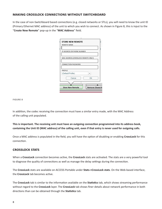## **Making CrossLock connections without Switchboard**

In the case of non-Switchboard based connections (e.g. closed networks or STLs), you will need to know the unit ID (Primary Ethernet MAC address) of the unit to which you wish to connect. As shown in Figure 8, this is input to the "**Create New Remote**" pop-up in the "**MAC Address**" field.

|                    | <b>STORE NEW REMOTE</b>             |                        |  |
|--------------------|-------------------------------------|------------------------|--|
| <b>REMOTE NAME</b> |                                     |                        |  |
|                    |                                     |                        |  |
|                    | IP ADDRESS OR PHONE NUMBER          |                        |  |
|                    |                                     |                        |  |
|                    | MAC ADDRESS (CROSSLOCK REMOTE ONLY) |                        |  |
|                    |                                     |                        |  |
|                    | <b>CONNECTION PASSWORD</b>          |                        |  |
|                    |                                     |                        |  |
| PROFILE            |                                     |                        |  |
|                    | (Default Profile)                   |                        |  |
|                    |                                     |                        |  |
|                    | Cance                               | OК                     |  |
|                    |                                     |                        |  |
|                    |                                     |                        |  |
|                    |                                     |                        |  |
|                    | <b>Store New Remote</b>             | <b>Remove Stored R</b> |  |

**Figure 8** 

In addition, the codec receiving the connection must have a similar entry made, with the MAC Address of the calling unit populated.

# **This is important. The receiving unit must have an outgoing connection programmed into its address book, containing the Unit ID (MAC address) of the calling unit, even if that entry is never used for outgoing calls.**

Once a MAC address is populated in the field, you will have the option of disabling or enabling **CrossLock** for this connection.

#### **CrossLock Stats**

When a **CrossLock** connection becomes active, the **CrossLock** stats are activated. The stats are a very powerful tool to diagnose the quality of connections as well as manage the delay settings during the connection.

The **CrossLock** stats are available on ACCESS Portable under **Stats->CrossLock stats**. On the Web-based interface, the **CrossLock** tab becomes active.

The **CrossLock** tab is similar to the information available on the **Statistics** tab, which shows streaming performance without regard to the **CrossLock** layer. The **CrossLock** tab shows finer details about network performance in both directions than can be obtained through the **Statistics** tab.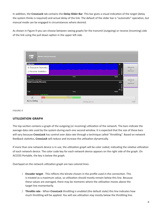In addition, the **CrossLock** tab contains the **Delay Slider Bar**. This bar gives a visual indication of the target (delay the system thinks is required) and actual delay of the link. The default of the slider bar is "automatic" operation, but manual mode can be engaged in circumstances where desired.

As shown in Figure 9 you can choose between seeing graphs for the transmit (outgoing) or receive (incoming) side of the link using the pull down option in the upper left side.



#### **Figure 9**

#### **Utilization Graph**

The top section contains a graph of the outgoing (or incoming) utilization of the network. The bars indicate the average data rate used by the system during each one second window. It is expected that the size of these bars will vary because **CrossLock** has control over data rate through a technique called "throttling". Based on network feedback statistics, **CrossLock** will reduce and increase the utilization dynamically.

If more than one network device is in use, the utilization graph will be color coded, indicating the relative utilization of each network device. The color code key for each network device appears on the right side of the graph. On ACCESS Portable, the key is below the graph.

Overlayed on the network utilization graph are two colored lines:

- 1 **Encoder target** This reflects the bitrate chosen in the profile used in the connection. This is treated as a maximum value, so utilization should mostly remain below this line. Because these values are averaged, there may be moments where the utilization moves above the target line momentarily.
- 2 **Throttle rate** When **CrossLock** throttling is enabled (the default state) this line indicates how much throttling will be applied. You will see utilization stay mostly below the throttling line.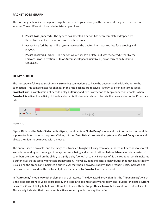#### **Packet Loss graph**

The bottom graph indicates, in percentage terms, what's gone wrong on the network during each one- second window. Three different color-coded entries appear here:

- 1 **Packet Loss (dark red)** The system has detected a packet has been completely dropped by the network and was never received by the decoder.
- 2 **Packet Late (bright red)**  The system received the packet, but it was too late for decoding and playout.
- 3 **Packet recovered (green)** The packet was either lost or late, but was recovered either by the Forward Error Correction (FEC) or Automatic Repeat Query (ARQ) error correction built into **CrossLock**.

#### **Delay Slider**

The most powerful way to stabilize any streaming connection is to have the decoder add a delay buffer to the connection. This compensates for changes in the rate packets are received - known as jitter in Internet speak. **CrossLock** uses a combination of decode delay buffering and error correction to keep connections stable. When **CrossLock** is active, the activity of the delay buffer is illustrated and controlled via the delay slider on the **CrossLock** tab.



#### **Figure 10**

Figure 10 shows the **Delay Slider.** In this figure, the slider is in "**Auto Delay**" mode and the information on the slider is purely for informational purposes. Clicking off the "**Auto Delay**" box sets the system to **Manual Delay** mode and allows the slider to be moved with a mouse.

The entire slider is scalable, and the range of it from left to right will vary from one hundred milliseconds to several seconds depending on the range of delays currently being addressed. In either **Auto** or **Manual** mode, a series of color bars are overlayed on the slider, to signify delay "zones" of safety. Furthest left is the red zone, which indicates a buffer level that is too low for stable transmission. The yellow zone indicates a delay buffer that may have stability issues, and the green zone indicates a buffer level that should provide stability. These "zones" scale, increase and decrease in size based on the history of jitter experienced by **CrossLock** on the network.

In "**Auto Delay**" mode, two other elements are of interest. The downward arrow signifies the "**Target Delay**", which is the best compromise value calculated by the system to balance stability and delay. The "bubble" indicates current delay. The Current Delay bubble will attempt to track with the **Target Delay Arrow,** but may at times fall outside it. This usually indicates that the system is actively reducing or increasing the buffer.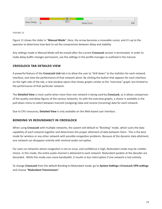

**Figure 11** 

Figure 11 shows the slider in "**Manual Mode**". Here, the arrow becomes a moveable cursor, and it's up to the operator to determine how best to set the compromise between delay and stability.

Any settings made in Manual Mode will be erased after the current **CrossLock** session is terminated. In order to make delay buffer changes permanent, use the settings in the profile manager as outlined in the manual.

# **CrossLock tab detaILed vIew**

A powerful feature of the **CrossLock Link** tab is to allow the user to "drill down" to the statistics for each network interface, and view the performance of that network alone. By clicking the button that appears for each interface on the right side of the tab, a new window opens that shows graphs similar to the "overview" graph, but limited to the performance of that particular network.

The **Detailed View** is most useful when more than one network is being used by **CrossLock**, as it allows comparison of the quality and delay figures of the various networks. As with the overview graphs, a choice is available in the pull-down menu to select between transmit (outgoing) data and receive (incoming) data for each network.

Due to CPU resources, **Detailed View** is only available on the Web-based user interface.

# **Bonding vs Redundancy in CrossLock**

When using **CrossLock** with multiple networks, the system will default to "Bonding" mode, which sums the data capability of each network together and determines the proper allotment of data between them. This is the best mode for wireless or any other network with possible congestion problems. Because of the dynamic data allotment, one network can disappear entirely with minimal audio corruption.

For users on networks where congestion is not an issue, and confidence is high, Redundant mode may be a better choice. In this mode, the entire audio channel is delivered to each network. Redundant packets at the decoder are discarded. While this mode uses more bandwidth, it results in less interruption if one network is lost entirely.

To change **CrossLock** from the default Bonding to Redundant mode, go to **System Settings->CrossLock VPN settings** and choose "**Redundant Transmission**".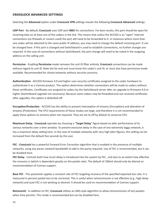#### **CrossLock advanCed settIngs**

Selecting the **Advanced** option under **CrossLock VPN** settings reveals the following **CrossLock Advanced** settings:

**UDP Port** - By default, **CrossLock** uses UDP port **9001** for connections. For best results, this port should be open for incoming data on at least one of the codecs in the link. This means that unless the ACCESS is an "open" Internet connections (no firewalls or routers used) the port will need to be forwarded to it. In instances where more than one codec will be attached to the same public IP address, you may need to change the default incoming port. It can be changed here. If this port is changed and Switchboard is used to establish connections, no further changes are required. In the case of connections without Switchboard, the port change will need to be noted in the outgoing address on the calling unit.

**Permissive** - Enabling **Permissive** mode removes the unit ID filter entirely. **CrossLock** connections can be made without regard to unit ID. Note the far end unit must know this codec's unit ID, or must also have permissive mode available. Recommended for closed networks without security concerns.

**Authentication** - ACCESS firmware 4.0 and higher uses security certificates assigned to the codec hardware to authenticate it as a Comrex product. This option determines whether connections will be made to codecs without these certificates. Certificates are assigned to codecs by the Switchboard server after an upgrade to firmware 4.0 or higher (Switchboard upgrade not necessary). Because some codecs may be firewalled and not received certificates after upgrades, this option is defaulted off.

**Encryption/Protection** - ACCESS has the ability to prevent interception of streams (Encryption) and alteration of streams (Protection). The CPU requirements of these modes are large, and therefore it is not recommended to apply these options to streams when not required. They are set to off by default to conserve CPU.

**Maximum Delay** - **CrossLock** operates by choosing a "**Target Delay**" figure based on jitter performance of its various networks over a time window. To prevent excessive delay in the case of one extremely laggy network, it has a maximum delay setting here. In the case of multiple networks with very high jitter figures, this setting can be increased from the default five seconds by the user.

**FEC** - **CrossLock** has a powerful Forward Error Correction algorithm that is enabled in the presence of multiple networks, using any excess network bandwidth to add in the parity required. Use of FEC is recommended, but it can be disabled here.

**FEC Delay** - Controls both how much delay is introduced into the system by FEC , and also to an extent how effective the recovery is (which is dependent greatly on the packet rate). The default of 100mS should only be altered on recommendation of Comrex support.

**Base FEC** - This parameter applies a constant rate of FEC targeting recovery of the specified expected loss rate. It is measured in percent packet loss to be corrected. This is useful when retransmission is not effective (e.g., high delay network) and auto-FEC is not working as desired. It should be used on recommendation of Comrex support.

**Retransmit** - In addition to FEC, **CrossLock** utilizes an ARQ style algorithm to allow retransmission of lost packets when time permits. This mode is recommended but can be disabled here.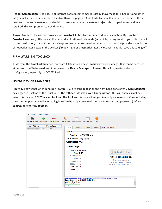**Header Compression** - The nature of Internet packets sometimes results in IP overhead (RTP headers and other info) actually using nearly as much bandwidth as the payload. **CrossLock**, by default, compresses some of these headers to conserve network bandwidth. In instances where the network rejects this, or packet inspection is required, this compression can be disabled.

**Always Connect** - This option provides for **CrossLock** to be always connected to a destination. By its nature, **CrossLock** uses very little data so the network utilization of this mode (when idle) is very small. If you only connect to one destination, having **CrossLock** always connected makes media connections faster, and provides an indication of network status between the devices ("ready" light or **CrossLock** status). Most users should leave this setting off.

#### **Firmware 4.0 Toolbox**

Aside from the **CrossLock** function, firmware 4.0 features a new **Toolbox** network manager that can be accessed either from the Web-based user interface or the **Device Manager** software. This allows easier network configuration, especially on ACCESS Rack.

#### **Using Device Manager**

Figure 12 shows that when running firmware 4.0, five tabs appear on the right-hand pane after **Device Manager** has logged in (instead of the usual four). The fifth tab is labeled **Web Configuration**. This will open a simplified setup interface on ACCESS called **Toolbox.** The **Toolbox** interface allows you to configure several options including the Ethernet port. You will need to log in to **Toolbox** separately with a user name (any) and password (default = **comrex**) to enter the **Toolbox**.

| Device<br>File          | View Help          |                    |                                        |                                                                   |                     |           |                                                                                   |                                                        |  |
|-------------------------|--------------------|--------------------|----------------------------------------|-------------------------------------------------------------------|---------------------|-----------|-----------------------------------------------------------------------------------|--------------------------------------------------------|--|
|                         |                    |                    |                                        | $a \equiv$                                                        |                     | 3         |                                                                                   |                                                        |  |
| <b>Scan for Devices</b> |                    |                    | Add Device Remove Device Clear Devices | Detailed View                                                     | <b>Summary View</b> | Help      |                                                                                   |                                                        |  |
| <b>MAC Address</b>      |                    | <b>Device Type</b> |                                        |                                                                   |                     |           |                                                                                   |                                                        |  |
|                         | <b>ACCESS Rack</b> |                    | Device                                 | Firmware                                                          | <b>Licenses</b>     | Self Test | Web Configuration                                                                 |                                                        |  |
|                         |                    |                    | <b>Details</b>                         |                                                                   |                     |           |                                                                                   |                                                        |  |
|                         |                    |                    |                                        |                                                                   |                     |           |                                                                                   |                                                        |  |
|                         |                    |                    |                                        | <b>Product ACCESS</b> Rack                                        |                     |           |                                                                                   |                                                        |  |
|                         |                    |                    |                                        | Unit Name My Rack                                                 |                     |           |                                                                                   |                                                        |  |
|                         |                    |                    |                                        | <b>Certificates Valid</b>                                         |                     |           |                                                                                   |                                                        |  |
|                         |                    |                    |                                        | Network Settings                                                  |                     |           |                                                                                   |                                                        |  |
|                         |                    |                    |                                        | Current IP 192.168.42.224                                         |                     |           |                                                                                   |                                                        |  |
|                         |                    |                    |                                        | Mode DHCP                                                         |                     |           |                                                                                   | <b>Network Settings</b>                                |  |
|                         |                    |                    |                                        | IP Address n/a                                                    |                     |           |                                                                                   |                                                        |  |
|                         |                    |                    |                                        | Mask n/a                                                          |                     |           |                                                                                   | Network settings locked.                               |  |
|                         |                    |                    |                                        | Gateway n/a                                                       |                     |           |                                                                                   | Devices only allow                                     |  |
|                         |                    |                    |                                        | DNS Server n/a                                                    |                     |           |                                                                                   | network setting changes<br>for 5 minutes after reboot. |  |
|                         |                    |                    |                                        | XML Port 80                                                       |                     |           |                                                                                   |                                                        |  |
|                         |                    |                    |                                        | Web Port 0                                                        |                     |           |                                                                                   |                                                        |  |
|                         |                    |                    |                                        |                                                                   |                     |           |                                                                                   |                                                        |  |
|                         |                    |                    |                                        |                                                                   |                     |           |                                                                                   |                                                        |  |
|                         |                    |                    |                                        |                                                                   |                     |           | Scan detected device with MAC address and the approximate of protocol Revision 2) |                                                        |  |
|                         |                    |                    |                                        | Connecting to device at 192.168.42.224:80<br>Logging in to device |                     |           |                                                                                   |                                                        |  |
|                         |                    |                    |                                        | Logged in to device.                                              |                     |           |                                                                                   |                                                        |  |
|                         |                    |                    | Ready.                                 |                                                                   |                     |           |                                                                                   |                                                        |  |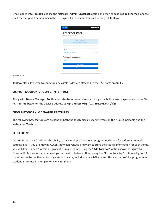Once logged into **Toolbox**, choose the **Network/Admin/CrossLock** option and then choose **Set up Ethernet**. Choose the Ethernet port that appears in the list. Figure 13 shows the Ethernet settings of **Toolbox**.

| « Back                                 | <b>OMREX</b>         |
|----------------------------------------|----------------------|
| <b>Ethernet Port</b><br>Network device |                      |
| 192.168.42.224/24                      |                      |
| <b>Name</b>                            | <b>Ethernet Port</b> |
| <b>Fnabled</b>                         | Yes                  |
| <b>Active Network Location</b>         | Default              |
| <b>Network Locations</b>               |                      |
| Default                                | $\mathcal{P}$        |
| <b>Add Location</b>                    |                      |
|                                        |                      |

**Figure 13** 

**Toolbox** also allows you to configure any wireless devices attached to the USB ports on ACCESS.

#### **Using Toolbox via web interface**

Along with **Device Manager**, **Toolbox** can also be accessed directly through the built-in web page via a browser. To log into **Toolbox** enter the device's address as **<ip\_address>/cfg** (e.g. **192.168.0.34/cfg**)

#### **New Network Manager features**

The following new features are present on both the touch-display user interface on the ACCESS portable and the web-based **Toolbox.**

#### **LoCatIons**

ACCESS firmware 4.0 includes the ability to have multiple "locations" programmed into it for different network settings. E.g., if you are moving ACCESS between venues, and want to store the static IP information for each venue, you will define a new "location" (giving it a unique name) using the "**Add Location**" option shown in Figure 14. Once multiple locations are defined, you can switch between them using the "**Active Location**" option in Figure 14. Locations can be configured for any network device, including the Wi-Fi adapter. This can be useful in programming credentials for use in multiple Wi-Fi environments.